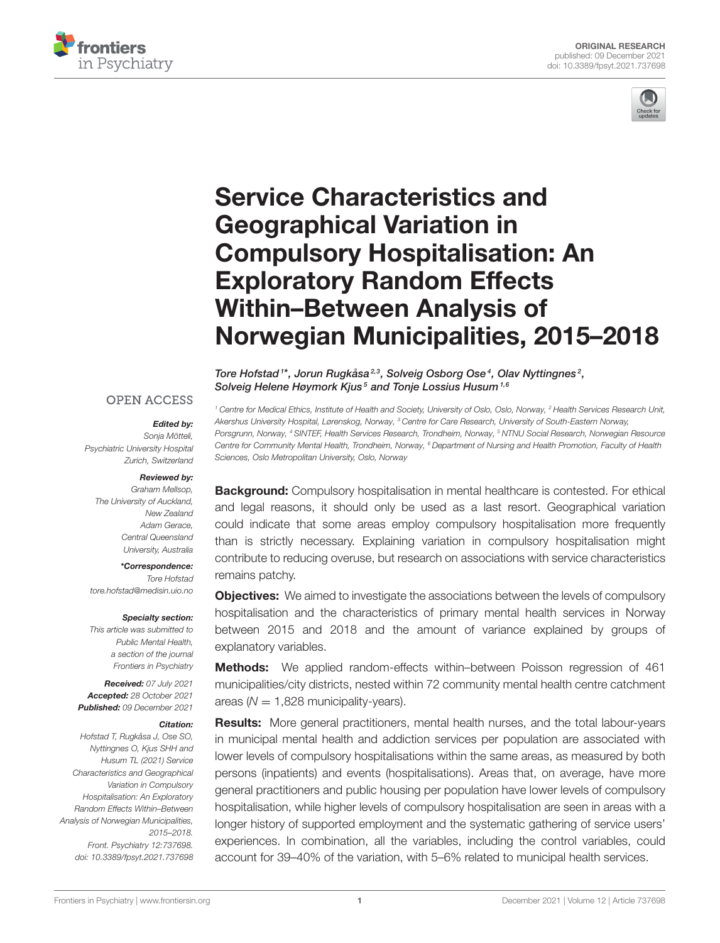



# Service Characteristics and Geographical Variation in Compulsory Hospitalisation: An Exploratory Random Effects Within–Between Analysis of [Norwegian Municipalities, 2015–2018](https://www.frontiersin.org/articles/10.3389/fpsyt.2021.737698/full)

Tore Hofstad<sup>1\*</sup>, Jorun Rugkåsa<sup>2,3</sup>, Solveig Osborg Ose<sup>4</sup>, Olav Nyttingnes<sup>2</sup>, Solveig Helene Høymork Kjus<sup>5</sup> and Tonje Lossius Husum<sup>1,6</sup>

<sup>1</sup> Centre for Medical Ethics, Institute of Health and Society, University of Oslo, Oslo, Norway, <sup>2</sup> Health Services Research Unit, Akershus University Hospital, Lørenskog, Norway, <sup>3</sup> Centre for Care Research, University of South-Eastern Norway, Porsgrunn, Norway, <sup>4</sup> SINTEF, Health Services Research, Trondheim, Norway, <sup>5</sup> NTNU Social Research, Norwegian Resource Centre for Community Mental Health, Trondheim, Norway, <sup>6</sup> Department of Nursing and Health Promotion, Faculty of Health Sciences, Oslo Metropolitan University, Oslo, Norway

**Background:** Compulsory hospitalisation in mental healthcare is contested. For ethical and legal reasons, it should only be used as a last resort. Geographical variation could indicate that some areas employ compulsory hospitalisation more frequently than is strictly necessary. Explaining variation in compulsory hospitalisation might contribute to reducing overuse, but research on associations with service characteristics remains patchy.

**Objectives:** We aimed to investigate the associations between the levels of compulsory hospitalisation and the characteristics of primary mental health services in Norway between 2015 and 2018 and the amount of variance explained by groups of explanatory variables.

Methods: We applied random-effects within–between Poisson regression of 461 municipalities/city districts, nested within 72 community mental health centre catchment areas ( $N = 1,828$  municipality-years).

**Results:** More general practitioners, mental health nurses, and the total labour-years in municipal mental health and addiction services per population are associated with lower levels of compulsory hospitalisations within the same areas, as measured by both persons (inpatients) and events (hospitalisations). Areas that, on average, have more general practitioners and public housing per population have lower levels of compulsory hospitalisation, while higher levels of compulsory hospitalisation are seen in areas with a longer history of supported employment and the systematic gathering of service users' experiences. In combination, all the variables, including the control variables, could account for 39–40% of the variation, with 5–6% related to municipal health services.

#### **OPEN ACCESS**

#### Edited by:

Sonia Mötteli. Psychiatric University Hospital Zurich, Switzerland

#### Reviewed by:

Graham Mellsop, The University of Auckland, New Zealand Adam Gerace, Central Queensland University, Australia

\*Correspondence: Tore Hofstad [tore.hofstad@medisin.uio.no](mailto:tore.hofstad@medisin.uio.no)

#### Specialty section:

This article was submitted to Public Mental Health, a section of the journal Frontiers in Psychiatry

Received: 07 July 2021 Accepted: 28 October 2021 Published: 09 December 2021

#### Citation:

Hofstad T, Rugkåsa J, Ose SO, Nyttingnes O, Kjus SHH and Husum TL (2021) Service Characteristics and Geographical Variation in Compulsory Hospitalisation: An Exploratory Random Effects Within–Between Analysis of Norwegian Municipalities, 2015–2018. Front. Psychiatry 12:737698. doi: [10.3389/fpsyt.2021.737698](https://doi.org/10.3389/fpsyt.2021.737698)

[Frontiers in Psychiatry](https://www.frontiersin.org/journals/psychiatry)| [www.frontiersin.org](https://www.frontiersin.org) | Network | 2021 | Volume 12 | Article 737698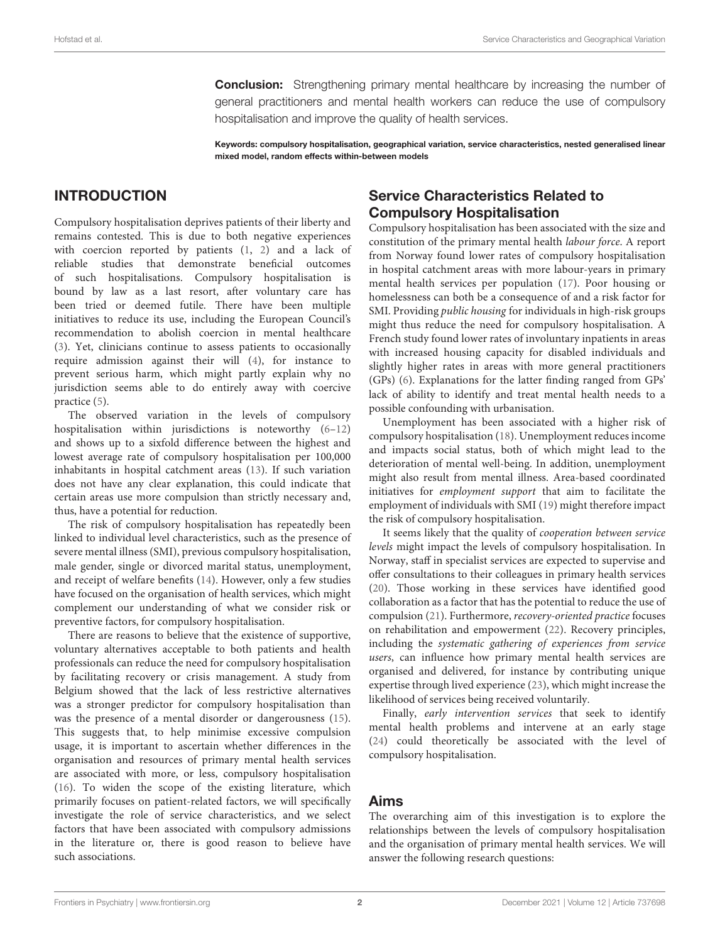**Conclusion:** Strengthening primary mental healthcare by increasing the number of general practitioners and mental health workers can reduce the use of compulsory hospitalisation and improve the quality of health services.

Keywords: compulsory hospitalisation, geographical variation, service characteristics, nested generalised linear mixed model, random effects within-between models

# INTRODUCTION

Compulsory hospitalisation deprives patients of their liberty and remains contested. This is due to both negative experiences with coercion reported by patients [\(1,](#page-9-0) [2\)](#page-9-1) and a lack of reliable studies that demonstrate beneficial outcomes of such hospitalisations. Compulsory hospitalisation is bound by law as a last resort, after voluntary care has been tried or deemed futile. There have been multiple initiatives to reduce its use, including the European Council's recommendation to abolish coercion in mental healthcare [\(3\)](#page-9-2). Yet, clinicians continue to assess patients to occasionally require admission against their will [\(4\)](#page-9-3), for instance to prevent serious harm, which might partly explain why no jurisdiction seems able to do entirely away with coercive practice [\(5\)](#page-9-4).

The observed variation in the levels of compulsory hospitalisation within jurisdictions is noteworthy  $(6-12)$  $(6-12)$ and shows up to a sixfold difference between the highest and lowest average rate of compulsory hospitalisation per 100,000 inhabitants in hospital catchment areas [\(13\)](#page-9-7). If such variation does not have any clear explanation, this could indicate that certain areas use more compulsion than strictly necessary and, thus, have a potential for reduction.

The risk of compulsory hospitalisation has repeatedly been linked to individual level characteristics, such as the presence of severe mental illness (SMI), previous compulsory hospitalisation, male gender, single or divorced marital status, unemployment, and receipt of welfare benefits [\(14\)](#page-9-8). However, only a few studies have focused on the organisation of health services, which might complement our understanding of what we consider risk or preventive factors, for compulsory hospitalisation.

There are reasons to believe that the existence of supportive, voluntary alternatives acceptable to both patients and health professionals can reduce the need for compulsory hospitalisation by facilitating recovery or crisis management. A study from Belgium showed that the lack of less restrictive alternatives was a stronger predictor for compulsory hospitalisation than was the presence of a mental disorder or dangerousness [\(15\)](#page-9-9). This suggests that, to help minimise excessive compulsion usage, it is important to ascertain whether differences in the organisation and resources of primary mental health services are associated with more, or less, compulsory hospitalisation [\(16\)](#page-9-10). To widen the scope of the existing literature, which primarily focuses on patient-related factors, we will specifically investigate the role of service characteristics, and we select factors that have been associated with compulsory admissions in the literature or, there is good reason to believe have such associations.

## Service Characteristics Related to Compulsory Hospitalisation

Compulsory hospitalisation has been associated with the size and constitution of the primary mental health labour force. A report from Norway found lower rates of compulsory hospitalisation in hospital catchment areas with more labour-years in primary mental health services per population [\(17\)](#page-9-11). Poor housing or homelessness can both be a consequence of and a risk factor for SMI. Providing public housing for individuals in high-risk groups might thus reduce the need for compulsory hospitalisation. A French study found lower rates of involuntary inpatients in areas with increased housing capacity for disabled individuals and slightly higher rates in areas with more general practitioners (GPs) [\(6\)](#page-9-5). Explanations for the latter finding ranged from GPs' lack of ability to identify and treat mental health needs to a possible confounding with urbanisation.

Unemployment has been associated with a higher risk of compulsory hospitalisation [\(18\)](#page-9-12). Unemployment reduces income and impacts social status, both of which might lead to the deterioration of mental well-being. In addition, unemployment might also result from mental illness. Area-based coordinated initiatives for employment support that aim to facilitate the employment of individuals with SMI [\(19\)](#page-9-13) might therefore impact the risk of compulsory hospitalisation.

It seems likely that the quality of cooperation between service levels might impact the levels of compulsory hospitalisation. In Norway, staff in specialist services are expected to supervise and offer consultations to their colleagues in primary health services [\(20\)](#page-9-14). Those working in these services have identified good collaboration as a factor that has the potential to reduce the use of compulsion [\(21\)](#page-9-15). Furthermore, recovery-oriented practice focuses on rehabilitation and empowerment [\(22\)](#page-9-16). Recovery principles, including the systematic gathering of experiences from service users, can influence how primary mental health services are organised and delivered, for instance by contributing unique expertise through lived experience [\(23\)](#page-9-17), which might increase the likelihood of services being received voluntarily.

Finally, early intervention services that seek to identify mental health problems and intervene at an early stage [\(24\)](#page-9-18) could theoretically be associated with the level of compulsory hospitalisation.

#### Aims

The overarching aim of this investigation is to explore the relationships between the levels of compulsory hospitalisation and the organisation of primary mental health services. We will answer the following research questions: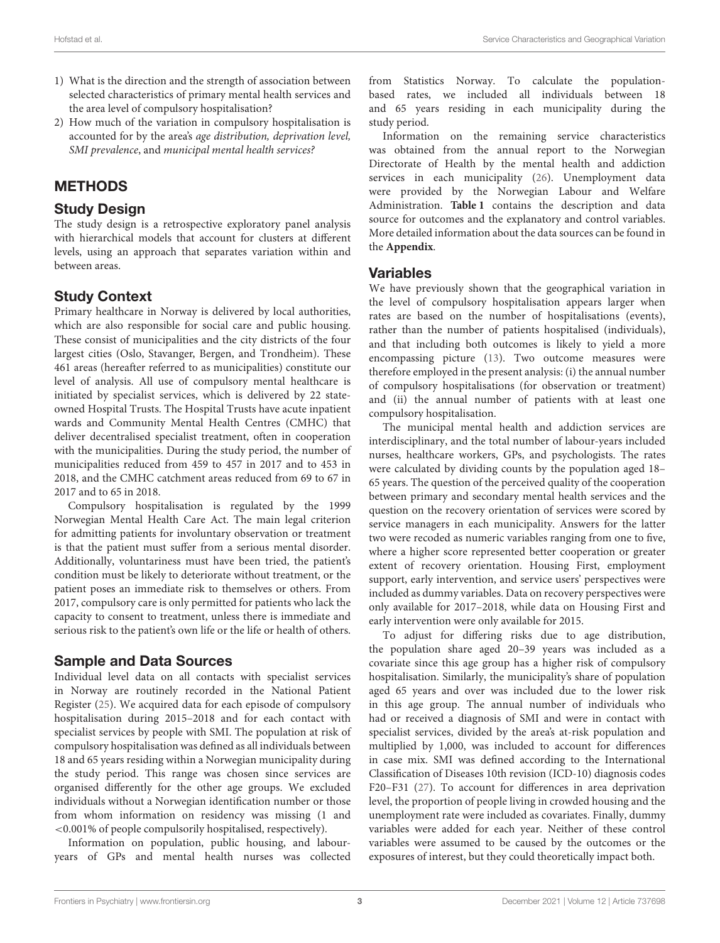- 1) What is the direction and the strength of association between selected characteristics of primary mental health services and the area level of compulsory hospitalisation?
- 2) How much of the variation in compulsory hospitalisation is accounted for by the area's age distribution, deprivation level, SMI prevalence, and municipal mental health services?

# **METHODS**

#### Study Design

The study design is a retrospective exploratory panel analysis with hierarchical models that account for clusters at different levels, using an approach that separates variation within and between areas.

### Study Context

Primary healthcare in Norway is delivered by local authorities, which are also responsible for social care and public housing. These consist of municipalities and the city districts of the four largest cities (Oslo, Stavanger, Bergen, and Trondheim). These 461 areas (hereafter referred to as municipalities) constitute our level of analysis. All use of compulsory mental healthcare is initiated by specialist services, which is delivered by 22 stateowned Hospital Trusts. The Hospital Trusts have acute inpatient wards and Community Mental Health Centres (CMHC) that deliver decentralised specialist treatment, often in cooperation with the municipalities. During the study period, the number of municipalities reduced from 459 to 457 in 2017 and to 453 in 2018, and the CMHC catchment areas reduced from 69 to 67 in 2017 and to 65 in 2018.

Compulsory hospitalisation is regulated by the 1999 Norwegian Mental Health Care Act. The main legal criterion for admitting patients for involuntary observation or treatment is that the patient must suffer from a serious mental disorder. Additionally, voluntariness must have been tried, the patient's condition must be likely to deteriorate without treatment, or the patient poses an immediate risk to themselves or others. From 2017, compulsory care is only permitted for patients who lack the capacity to consent to treatment, unless there is immediate and serious risk to the patient's own life or the life or health of others.

# Sample and Data Sources

Individual level data on all contacts with specialist services in Norway are routinely recorded in the National Patient Register [\(25\)](#page-9-19). We acquired data for each episode of compulsory hospitalisation during 2015–2018 and for each contact with specialist services by people with SMI. The population at risk of compulsory hospitalisation was defined as all individuals between 18 and 65 years residing within a Norwegian municipality during the study period. This range was chosen since services are organised differently for the other age groups. We excluded individuals without a Norwegian identification number or those from whom information on residency was missing (1 and <0.001% of people compulsorily hospitalised, respectively).

Information on population, public housing, and labouryears of GPs and mental health nurses was collected from Statistics Norway. To calculate the populationbased rates, we included all individuals between 18 and 65 years residing in each municipality during the study period.

Information on the remaining service characteristics was obtained from the annual report to the Norwegian Directorate of Health by the mental health and addiction services in each municipality [\(26\)](#page-9-20). Unemployment data were provided by the Norwegian Labour and Welfare Administration. **[Table 1](#page-3-0)** contains the description and data source for outcomes and the explanatory and control variables. More detailed information about the data sources can be found in the **[Appendix](#page-8-0)**.

#### Variables

We have previously shown that the geographical variation in the level of compulsory hospitalisation appears larger when rates are based on the number of hospitalisations (events), rather than the number of patients hospitalised (individuals), and that including both outcomes is likely to yield a more encompassing picture [\(13\)](#page-9-7). Two outcome measures were therefore employed in the present analysis: (i) the annual number of compulsory hospitalisations (for observation or treatment) and (ii) the annual number of patients with at least one compulsory hospitalisation.

The municipal mental health and addiction services are interdisciplinary, and the total number of labour-years included nurses, healthcare workers, GPs, and psychologists. The rates were calculated by dividing counts by the population aged 18– 65 years. The question of the perceived quality of the cooperation between primary and secondary mental health services and the question on the recovery orientation of services were scored by service managers in each municipality. Answers for the latter two were recoded as numeric variables ranging from one to five, where a higher score represented better cooperation or greater extent of recovery orientation. Housing First, employment support, early intervention, and service users' perspectives were included as dummy variables. Data on recovery perspectives were only available for 2017–2018, while data on Housing First and early intervention were only available for 2015.

To adjust for differing risks due to age distribution, the population share aged 20–39 years was included as a covariate since this age group has a higher risk of compulsory hospitalisation. Similarly, the municipality's share of population aged 65 years and over was included due to the lower risk in this age group. The annual number of individuals who had or received a diagnosis of SMI and were in contact with specialist services, divided by the area's at-risk population and multiplied by 1,000, was included to account for differences in case mix. SMI was defined according to the International Classification of Diseases 10th revision (ICD-10) diagnosis codes F20–F31 [\(27\)](#page-9-21). To account for differences in area deprivation level, the proportion of people living in crowded housing and the unemployment rate were included as covariates. Finally, dummy variables were added for each year. Neither of these control variables were assumed to be caused by the outcomes or the exposures of interest, but they could theoretically impact both.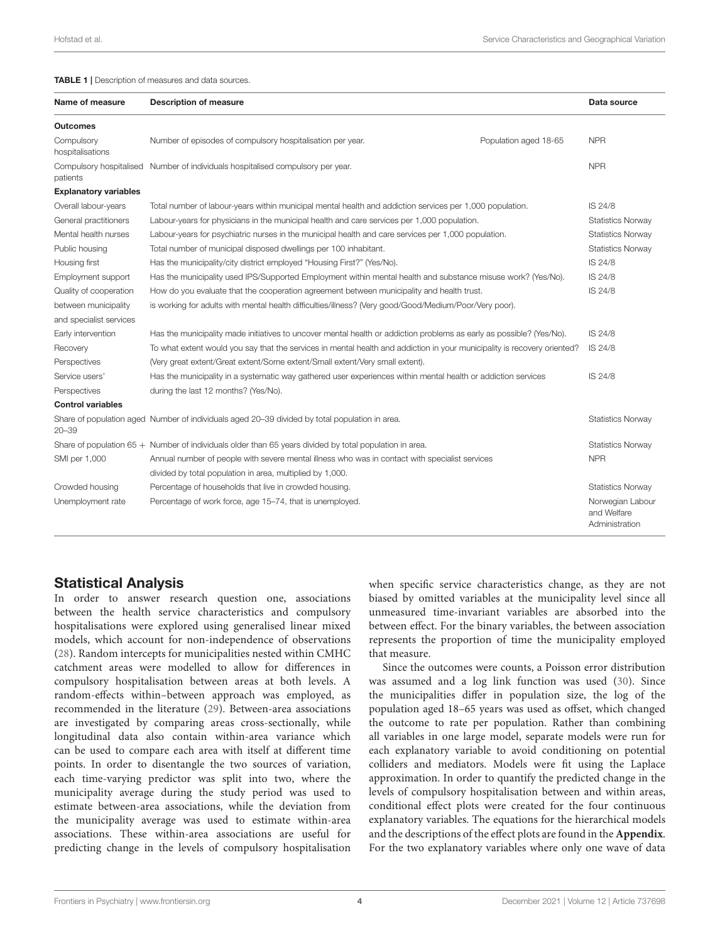#### <span id="page-3-0"></span>TABLE 1 | Description of measures and data sources.

| Name of measure                | <b>Description of measure</b>                                                                                                         |                       | Data source                                       |  |  |  |
|--------------------------------|---------------------------------------------------------------------------------------------------------------------------------------|-----------------------|---------------------------------------------------|--|--|--|
| <b>Outcomes</b>                |                                                                                                                                       |                       |                                                   |  |  |  |
| Compulsory<br>hospitalisations | Number of episodes of compulsory hospitalisation per year.                                                                            | Population aged 18-65 | <b>NPR</b>                                        |  |  |  |
| patients                       | Compulsory hospitalised Number of individuals hospitalised compulsory per year.                                                       |                       | <b>NPR</b>                                        |  |  |  |
| <b>Explanatory variables</b>   |                                                                                                                                       |                       |                                                   |  |  |  |
| Overall labour-years           | Total number of labour-years within municipal mental health and addiction services per 1,000 population.                              |                       |                                                   |  |  |  |
| General practitioners          | Labour-years for physicians in the municipal health and care services per 1,000 population.<br><b>Statistics Norway</b>               |                       |                                                   |  |  |  |
| Mental health nurses           | Labour-years for psychiatric nurses in the municipal health and care services per 1,000 population.<br><b>Statistics Norway</b>       |                       |                                                   |  |  |  |
| Public housing                 | Total number of municipal disposed dwellings per 100 inhabitant.<br><b>Statistics Norway</b>                                          |                       |                                                   |  |  |  |
| Housing first                  | Has the municipality/city district employed "Housing First?" (Yes/No).<br>IS 24/8                                                     |                       |                                                   |  |  |  |
| Employment support             | IS 24/8<br>Has the municipality used IPS/Supported Employment within mental health and substance misuse work? (Yes/No).               |                       |                                                   |  |  |  |
| Quality of cooperation         | How do you evaluate that the cooperation agreement between municipality and health trust.                                             |                       |                                                   |  |  |  |
| between municipality           | is working for adults with mental health difficulties/illness? (Very good/Good/Medium/Poor/Very poor).                                |                       |                                                   |  |  |  |
| and specialist services        |                                                                                                                                       |                       |                                                   |  |  |  |
| Early intervention             | Has the municipality made initiatives to uncover mental health or addiction problems as early as possible? (Yes/No).                  |                       | IS 24/8                                           |  |  |  |
| Recovery                       | To what extent would you say that the services in mental health and addiction in your municipality is recovery oriented?<br>IS 24/8   |                       |                                                   |  |  |  |
| Perspectives                   | (Very great extent/Great extent/Some extent/Small extent/Very small extent).                                                          |                       |                                                   |  |  |  |
| Service users'                 | Has the municipality in a systematic way gathered user experiences within mental health or addiction services<br>IS 24/8              |                       |                                                   |  |  |  |
| Perspectives                   | during the last 12 months? (Yes/No).                                                                                                  |                       |                                                   |  |  |  |
| <b>Control variables</b>       |                                                                                                                                       |                       |                                                   |  |  |  |
| $20 - 39$                      | Share of population aged Number of individuals aged 20-39 divided by total population in area.                                        |                       | <b>Statistics Norway</b>                          |  |  |  |
|                                | Share of population $65 +$ Number of individuals older than 65 years divided by total population in area.<br><b>Statistics Norway</b> |                       |                                                   |  |  |  |
| SMI per 1,000                  | Annual number of people with severe mental illness who was in contact with specialist services<br><b>NPR</b>                          |                       |                                                   |  |  |  |
|                                | divided by total population in area, multiplied by 1,000.                                                                             |                       |                                                   |  |  |  |
| Crowded housing                | Percentage of households that live in crowded housing.                                                                                |                       | <b>Statistics Norway</b>                          |  |  |  |
| Unemployment rate              | Percentage of work force, age 15-74, that is unemployed.                                                                              |                       | Norwegian Labour<br>and Welfare<br>Administration |  |  |  |

#### Statistical Analysis

In order to answer research question one, associations between the health service characteristics and compulsory hospitalisations were explored using generalised linear mixed models, which account for non-independence of observations [\(28\)](#page-9-22). Random intercepts for municipalities nested within CMHC catchment areas were modelled to allow for differences in compulsory hospitalisation between areas at both levels. A random-effects within–between approach was employed, as recommended in the literature [\(29\)](#page-9-23). Between-area associations are investigated by comparing areas cross-sectionally, while longitudinal data also contain within-area variance which can be used to compare each area with itself at different time points. In order to disentangle the two sources of variation, each time-varying predictor was split into two, where the municipality average during the study period was used to estimate between-area associations, while the deviation from the municipality average was used to estimate within-area associations. These within-area associations are useful for predicting change in the levels of compulsory hospitalisation when specific service characteristics change, as they are not biased by omitted variables at the municipality level since all unmeasured time-invariant variables are absorbed into the between effect. For the binary variables, the between association represents the proportion of time the municipality employed that measure.

Since the outcomes were counts, a Poisson error distribution was assumed and a log link function was used [\(30\)](#page-9-24). Since the municipalities differ in population size, the log of the population aged 18–65 years was used as offset, which changed the outcome to rate per population. Rather than combining all variables in one large model, separate models were run for each explanatory variable to avoid conditioning on potential colliders and mediators. Models were fit using the Laplace approximation. In order to quantify the predicted change in the levels of compulsory hospitalisation between and within areas, conditional effect plots were created for the four continuous explanatory variables. The equations for the hierarchical models and the descriptions of the effect plots are found in the **[Appendix](#page-8-0)**. For the two explanatory variables where only one wave of data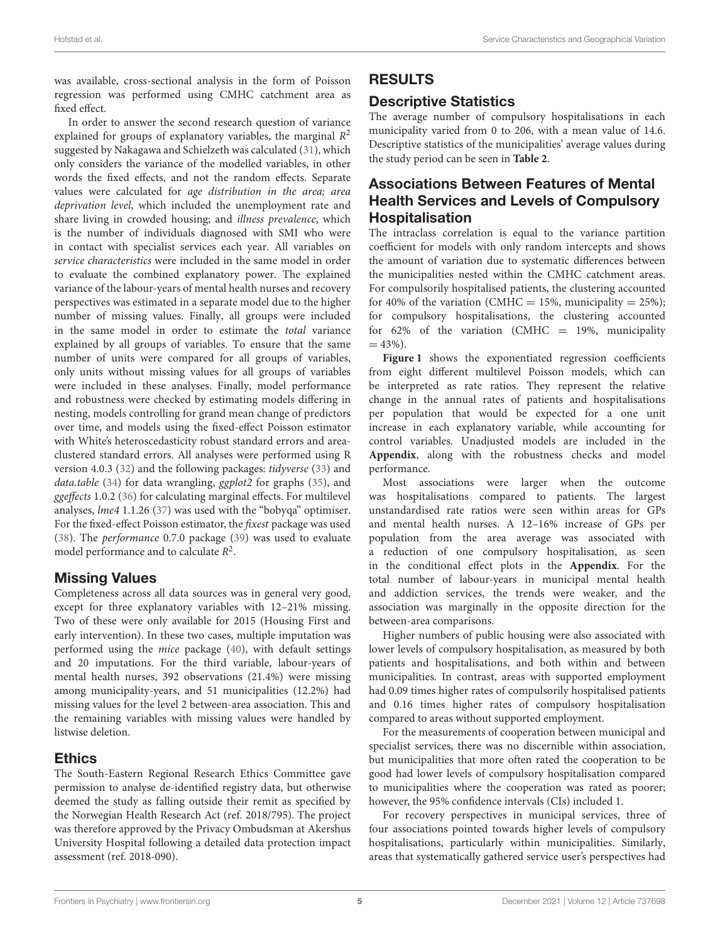was available, cross-sectional analysis in the form of Poisson regression was performed using CMHC catchment area as fixed effect.

In order to answer the second research question of variance explained for groups of explanatory variables, the marginal  $R^2$ suggested by Nakagawa and Schielzeth was calculated [\(31\)](#page-9-25), which only considers the variance of the modelled variables, in other words the fixed effects, and not the random effects. Separate values were calculated for age distribution in the area; area deprivation level, which included the unemployment rate and share living in crowded housing; and illness prevalence, which is the number of individuals diagnosed with SMI who were in contact with specialist services each year. All variables on service characteristics were included in the same model in order to evaluate the combined explanatory power. The explained variance of the labour-years of mental health nurses and recovery perspectives was estimated in a separate model due to the higher number of missing values. Finally, all groups were included in the same model in order to estimate the total variance explained by all groups of variables. To ensure that the same number of units were compared for all groups of variables, only units without missing values for all groups of variables were included in these analyses. Finally, model performance and robustness were checked by estimating models differing in nesting, models controlling for grand mean change of predictors over time, and models using the fixed-effect Poisson estimator with White's heteroscedasticity robust standard errors and areaclustered standard errors. All analyses were performed using R version 4.0.3 [\(32\)](#page-9-26) and the following packages: tidyverse [\(33\)](#page-9-27) and data.table [\(34\)](#page-9-28) for data wrangling, ggplot2 for graphs [\(35\)](#page-9-29), and ggeffects 1.0.2 [\(36\)](#page-9-30) for calculating marginal effects. For multilevel analyses, lme4 1.1.26 [\(37\)](#page-9-31) was used with the "bobyqa" optimiser. For the fixed-effect Poisson estimator, the fixest package was used [\(38\)](#page-9-32). The performance 0.7.0 package [\(39\)](#page-10-0) was used to evaluate model performance and to calculate  $R^2$ .

#### Missing Values

Completeness across all data sources was in general very good, except for three explanatory variables with 12–21% missing. Two of these were only available for 2015 (Housing First and early intervention). In these two cases, multiple imputation was performed using the mice package [\(40\)](#page-10-1), with default settings and 20 imputations. For the third variable, labour-years of mental health nurses, 392 observations (21.4%) were missing among municipality-years, and 51 municipalities (12.2%) had missing values for the level 2 between-area association. This and the remaining variables with missing values were handled by listwise deletion.

#### Ethics

The South-Eastern Regional Research Ethics Committee gave permission to analyse de-identified registry data, but otherwise deemed the study as falling outside their remit as specified by the Norwegian Health Research Act (ref. 2018/795). The project was therefore approved by the Privacy Ombudsman at Akershus University Hospital following a detailed data protection impact assessment (ref. 2018-090).

# RESULTS

### Descriptive Statistics

The average number of compulsory hospitalisations in each municipality varied from 0 to 206, with a mean value of 14.6. Descriptive statistics of the municipalities' average values during the study period can be seen in **[Table 2](#page-5-0)**.

#### Associations Between Features of Mental Health Services and Levels of Compulsory Hospitalisation

The intraclass correlation is equal to the variance partition coefficient for models with only random intercepts and shows the amount of variation due to systematic differences between the municipalities nested within the CMHC catchment areas. For compulsorily hospitalised patients, the clustering accounted for 40% of the variation (CMHC = 15%, municipality = 25%); for compulsory hospitalisations, the clustering accounted for 62% of the variation (CMHC = 19%, municipality  $= 43\%$ ).

[Figure 1](#page-6-0) shows the exponentiated regression coefficients from eight different multilevel Poisson models, which can be interpreted as rate ratios. They represent the relative change in the annual rates of patients and hospitalisations per population that would be expected for a one unit increase in each explanatory variable, while accounting for control variables. Unadjusted models are included in the **[Appendix](#page-8-0)**, along with the robustness checks and model performance.

Most associations were larger when the outcome was hospitalisations compared to patients. The largest unstandardised rate ratios were seen within areas for GPs and mental health nurses. A 12–16% increase of GPs per population from the area average was associated with a reduction of one compulsory hospitalisation, as seen in the conditional effect plots in the **[Appendix](#page-8-0)**. For the total number of labour-years in municipal mental health and addiction services, the trends were weaker, and the association was marginally in the opposite direction for the between-area comparisons.

Higher numbers of public housing were also associated with lower levels of compulsory hospitalisation, as measured by both patients and hospitalisations, and both within and between municipalities. In contrast, areas with supported employment had 0.09 times higher rates of compulsorily hospitalised patients and 0.16 times higher rates of compulsory hospitalisation compared to areas without supported employment.

For the measurements of cooperation between municipal and specialist services, there was no discernible within association, but municipalities that more often rated the cooperation to be good had lower levels of compulsory hospitalisation compared to municipalities where the cooperation was rated as poorer; however, the 95% confidence intervals (CIs) included 1.

For recovery perspectives in municipal services, three of four associations pointed towards higher levels of compulsory hospitalisations, particularly within municipalities. Similarly, areas that systematically gathered service user's perspectives had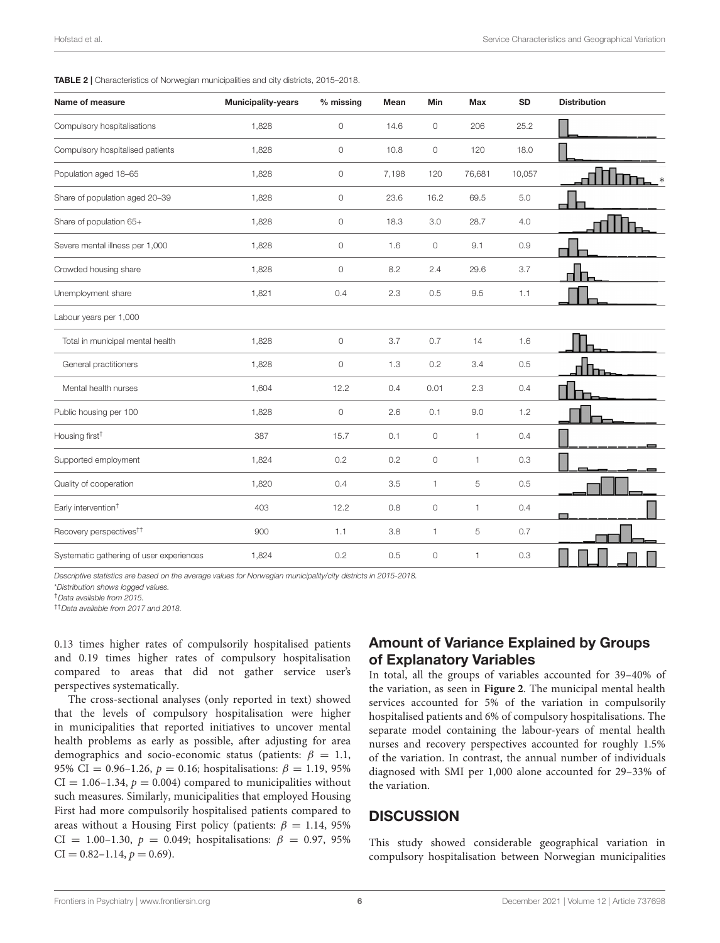<span id="page-5-0"></span>TABLE 2 | Characteristics of Norwegian municipalities and city districts, 2015–2018.

| Name of measure                          | <b>Municipality-years</b> | % missing           | Mean  | Min                 | Max    | <b>SD</b> | <b>Distribution</b> |
|------------------------------------------|---------------------------|---------------------|-------|---------------------|--------|-----------|---------------------|
| Compulsory hospitalisations              | 1,828                     | 0                   | 14.6  | $\circ$             | 206    | 25.2      |                     |
| Compulsory hospitalised patients         | 1,828                     | $\mathsf{O}\xspace$ | 10.8  | $\circ$             | 120    | 18.0      |                     |
| Population aged 18-65                    | 1,828                     | 0                   | 7,198 | 120                 | 76,681 | 10,057    |                     |
| Share of population aged 20-39           | 1,828                     | $\mathsf{O}\xspace$ | 23.6  | 16.2                | 69.5   | 5.0       |                     |
| Share of population 65+                  | 1,828                     | $\mathsf{O}\xspace$ | 18.3  | $3.0\,$             | 28.7   | 4.0       |                     |
| Severe mental illness per 1,000          | 1,828                     | $\mathsf{O}\xspace$ | 1.6   | $\circ$             | 9.1    | 0.9       |                     |
| Crowded housing share                    | 1,828                     | $\mathsf{O}\xspace$ | 8.2   | 2.4                 | 29.6   | 3.7       |                     |
| Unemployment share                       | 1,821                     | 0.4                 | 2.3   | 0.5                 | 9.5    | 1.1       |                     |
| Labour years per 1,000                   |                           |                     |       |                     |        |           |                     |
| Total in municipal mental health         | 1,828                     | $\mathsf{O}\xspace$ | 3.7   | 0.7                 | 14     | 1.6       |                     |
| General practitioners                    | 1,828                     | $\mathsf{O}\xspace$ | 1.3   | 0.2                 | 3.4    | 0.5       |                     |
| Mental health nurses                     | 1,604                     | 12.2                | 0.4   | 0.01                | 2.3    | 0.4       |                     |
| Public housing per 100                   | 1,828                     | $\mathsf{O}\xspace$ | 2.6   | 0.1                 | 9.0    | 1.2       |                     |
| Housing first <sup>+</sup>               | 387                       | 15.7                | 0.1   | $\circ$             | 1      | 0.4       |                     |
| Supported employment                     | 1,824                     | 0.2                 | 0.2   | $\mathsf{O}\xspace$ | 1      | 0.3       |                     |
| Quality of cooperation                   | 1,820                     | 0.4                 | 3.5   | 1                   | 5      | 0.5       |                     |
| Early intervention <sup>†</sup>          | 403                       | 12.2                | 0.8   | $\mathsf{O}\xspace$ | 1      | 0.4       |                     |
| Recovery perspectives <sup>††</sup>      | 900                       | 1.1                 | 3.8   | 1                   | 5      | 0.7       |                     |
| Systematic gathering of user experiences | 1,824                     | 0.2                 | 0.5   | 0                   | 1      | 0.3       |                     |

Descriptive statistics are based on the average values for Norwegian municipality/city districts in 2015-2018.

\*Distribution shows logged values.

†Data available from 2015.

††Data available from 2017 and 2018.

0.13 times higher rates of compulsorily hospitalised patients and 0.19 times higher rates of compulsory hospitalisation compared to areas that did not gather service user's perspectives systematically.

The cross-sectional analyses (only reported in text) showed that the levels of compulsory hospitalisation were higher in municipalities that reported initiatives to uncover mental health problems as early as possible, after adjusting for area demographics and socio-economic status (patients:  $\beta = 1.1$ , 95% CI = 0.96–1.26,  $p = 0.16$ ; hospitalisations:  $\beta = 1.19$ , 95%  $CI = 1.06 - 1.34$ ,  $p = 0.004$ ) compared to municipalities without such measures. Similarly, municipalities that employed Housing First had more compulsorily hospitalised patients compared to areas without a Housing First policy (patients:  $\beta = 1.14$ , 95% CI = 1.00-1.30,  $p = 0.049$ ; hospitalisations:  $\beta = 0.97, 95\%$  $CI = 0.82 - 1.14, p = 0.69$ .

#### Amount of Variance Explained by Groups of Explanatory Variables

In total, all the groups of variables accounted for 39–40% of the variation, as seen in **[Figure 2](#page-6-1)**. The municipal mental health services accounted for 5% of the variation in compulsorily hospitalised patients and 6% of compulsory hospitalisations. The separate model containing the labour-years of mental health nurses and recovery perspectives accounted for roughly 1.5% of the variation. In contrast, the annual number of individuals diagnosed with SMI per 1,000 alone accounted for 29–33% of the variation.

#### **DISCUSSION**

This study showed considerable geographical variation in compulsory hospitalisation between Norwegian municipalities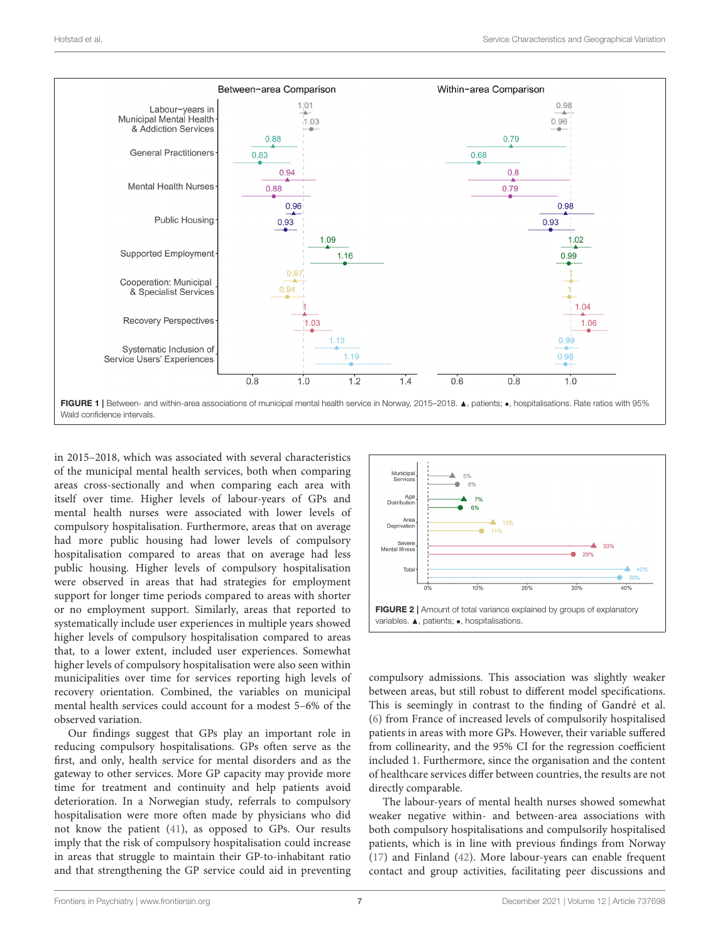

<span id="page-6-0"></span>in 2015–2018, which was associated with several characteristics of the municipal mental health services, both when comparing areas cross-sectionally and when comparing each area with itself over time. Higher levels of labour-years of GPs and mental health nurses were associated with lower levels of compulsory hospitalisation. Furthermore, areas that on average had more public housing had lower levels of compulsory hospitalisation compared to areas that on average had less public housing. Higher levels of compulsory hospitalisation were observed in areas that had strategies for employment support for longer time periods compared to areas with shorter or no employment support. Similarly, areas that reported to systematically include user experiences in multiple years showed higher levels of compulsory hospitalisation compared to areas that, to a lower extent, included user experiences. Somewhat higher levels of compulsory hospitalisation were also seen within municipalities over time for services reporting high levels of recovery orientation. Combined, the variables on municipal mental health services could account for a modest 5–6% of the observed variation.

Our findings suggest that GPs play an important role in reducing compulsory hospitalisations. GPs often serve as the first, and only, health service for mental disorders and as the gateway to other services. More GP capacity may provide more time for treatment and continuity and help patients avoid deterioration. In a Norwegian study, referrals to compulsory hospitalisation were more often made by physicians who did not know the patient [\(41\)](#page-10-2), as opposed to GPs. Our results imply that the risk of compulsory hospitalisation could increase in areas that struggle to maintain their GP-to-inhabitant ratio and that strengthening the GP service could aid in preventing



<span id="page-6-1"></span>compulsory admissions. This association was slightly weaker between areas, but still robust to different model specifications. This is seemingly in contrast to the finding of Gandré et al. [\(6\)](#page-9-5) from France of increased levels of compulsorily hospitalised patients in areas with more GPs. However, their variable suffered from collinearity, and the 95% CI for the regression coefficient included 1. Furthermore, since the organisation and the content of healthcare services differ between countries, the results are not directly comparable.

The labour-years of mental health nurses showed somewhat weaker negative within- and between-area associations with both compulsory hospitalisations and compulsorily hospitalised patients, which is in line with previous findings from Norway [\(17\)](#page-9-11) and Finland [\(42\)](#page-10-3). More labour-years can enable frequent contact and group activities, facilitating peer discussions and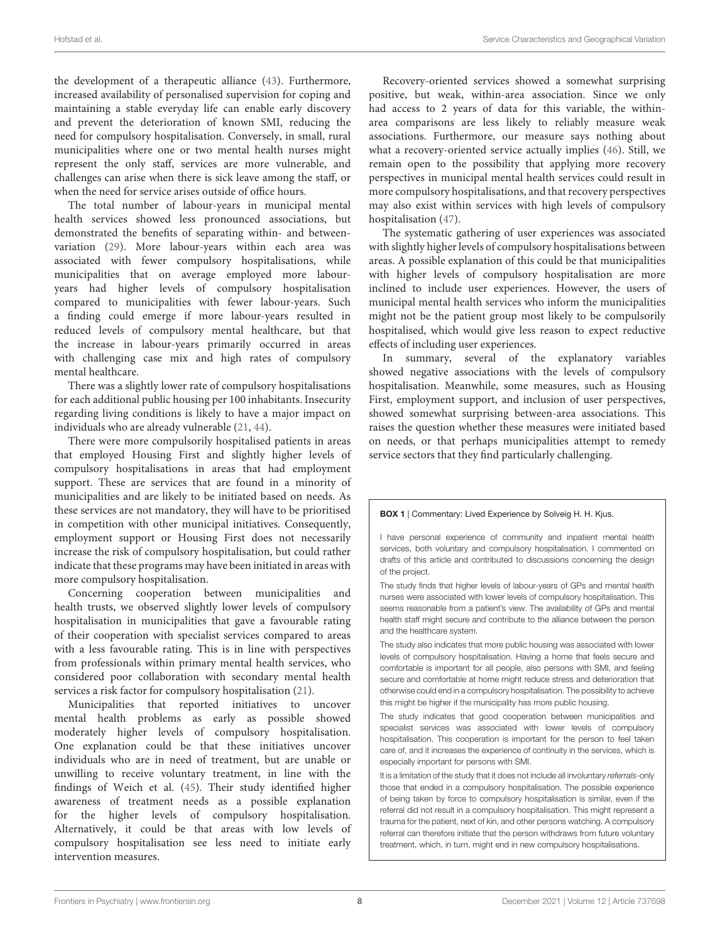the development of a therapeutic alliance [\(43\)](#page-10-4). Furthermore, increased availability of personalised supervision for coping and maintaining a stable everyday life can enable early discovery and prevent the deterioration of known SMI, reducing the need for compulsory hospitalisation. Conversely, in small, rural municipalities where one or two mental health nurses might represent the only staff, services are more vulnerable, and challenges can arise when there is sick leave among the staff, or when the need for service arises outside of office hours.

The total number of labour-years in municipal mental health services showed less pronounced associations, but demonstrated the benefits of separating within- and betweenvariation [\(29\)](#page-9-23). More labour-years within each area was associated with fewer compulsory hospitalisations, while municipalities that on average employed more labouryears had higher levels of compulsory hospitalisation compared to municipalities with fewer labour-years. Such a finding could emerge if more labour-years resulted in reduced levels of compulsory mental healthcare, but that the increase in labour-years primarily occurred in areas with challenging case mix and high rates of compulsory mental healthcare.

There was a slightly lower rate of compulsory hospitalisations for each additional public housing per 100 inhabitants. Insecurity regarding living conditions is likely to have a major impact on individuals who are already vulnerable [\(21,](#page-9-15) [44\)](#page-10-5).

There were more compulsorily hospitalised patients in areas that employed Housing First and slightly higher levels of compulsory hospitalisations in areas that had employment support. These are services that are found in a minority of municipalities and are likely to be initiated based on needs. As these services are not mandatory, they will have to be prioritised in competition with other municipal initiatives. Consequently, employment support or Housing First does not necessarily increase the risk of compulsory hospitalisation, but could rather indicate that these programs may have been initiated in areas with more compulsory hospitalisation.

Concerning cooperation between municipalities and health trusts, we observed slightly lower levels of compulsory hospitalisation in municipalities that gave a favourable rating of their cooperation with specialist services compared to areas with a less favourable rating. This is in line with perspectives from professionals within primary mental health services, who considered poor collaboration with secondary mental health services a risk factor for compulsory hospitalisation [\(21\)](#page-9-15).

Municipalities that reported initiatives to uncover mental health problems as early as possible showed moderately higher levels of compulsory hospitalisation. One explanation could be that these initiatives uncover individuals who are in need of treatment, but are unable or unwilling to receive voluntary treatment, in line with the findings of Weich et al. [\(45\)](#page-10-6). Their study identified higher awareness of treatment needs as a possible explanation for the higher levels of compulsory hospitalisation. Alternatively, it could be that areas with low levels of compulsory hospitalisation see less need to initiate early intervention measures.

Recovery-oriented services showed a somewhat surprising positive, but weak, within-area association. Since we only had access to 2 years of data for this variable, the withinarea comparisons are less likely to reliably measure weak associations. Furthermore, our measure says nothing about what a recovery-oriented service actually implies [\(46\)](#page-10-7). Still, we remain open to the possibility that applying more recovery perspectives in municipal mental health services could result in more compulsory hospitalisations, and that recovery perspectives may also exist within services with high levels of compulsory hospitalisation [\(47\)](#page-10-8).

The systematic gathering of user experiences was associated with slightly higher levels of compulsory hospitalisations between areas. A possible explanation of this could be that municipalities with higher levels of compulsory hospitalisation are more inclined to include user experiences. However, the users of municipal mental health services who inform the municipalities might not be the patient group most likely to be compulsorily hospitalised, which would give less reason to expect reductive effects of including user experiences.

In summary, several of the explanatory variables showed negative associations with the levels of compulsory hospitalisation. Meanwhile, some measures, such as Housing First, employment support, and inclusion of user perspectives, showed somewhat surprising between-area associations. This raises the question whether these measures were initiated based on needs, or that perhaps municipalities attempt to remedy service sectors that they find particularly challenging.

BOX 1 | Commentary: Lived Experience by Solveig H. H. Kjus.

The study finds that higher levels of labour-years of GPs and mental health nurses were associated with lower levels of compulsory hospitalisation. This seems reasonable from a patient's view. The availability of GPs and mental health staff might secure and contribute to the alliance between the person and the healthcare system.

The study also indicates that more public housing was associated with lower levels of compulsory hospitalisation. Having a home that feels secure and comfortable is important for all people, also persons with SMI, and feeling secure and comfortable at home might reduce stress and deterioration that otherwise could end in a compulsory hospitalisation. The possibility to achieve this might be higher if the municipality has more public housing.

The study indicates that good cooperation between municipalities and specialist services was associated with lower levels of compulsory hospitalisation. This cooperation is important for the person to feel taken care of, and it increases the experience of continuity in the services, which is especially important for persons with SMI.

It is a limitation of the study that it does not include all involuntary referrals-only those that ended in a compulsory hospitalisation. The possible experience of being taken by force to compulsory hospitalisation is similar, even if the referral did not result in a compulsory hospitalisation. This might represent a trauma for the patient, next of kin, and other persons watching. A compulsory referral can therefore initiate that the person withdraws from future voluntary treatment, which, in turn, might end in new compulsory hospitalisations.

I have personal experience of community and inpatient mental health services, both voluntary and compulsory hospitalisation. I commented on drafts of this article and contributed to discussions concerning the design of the project.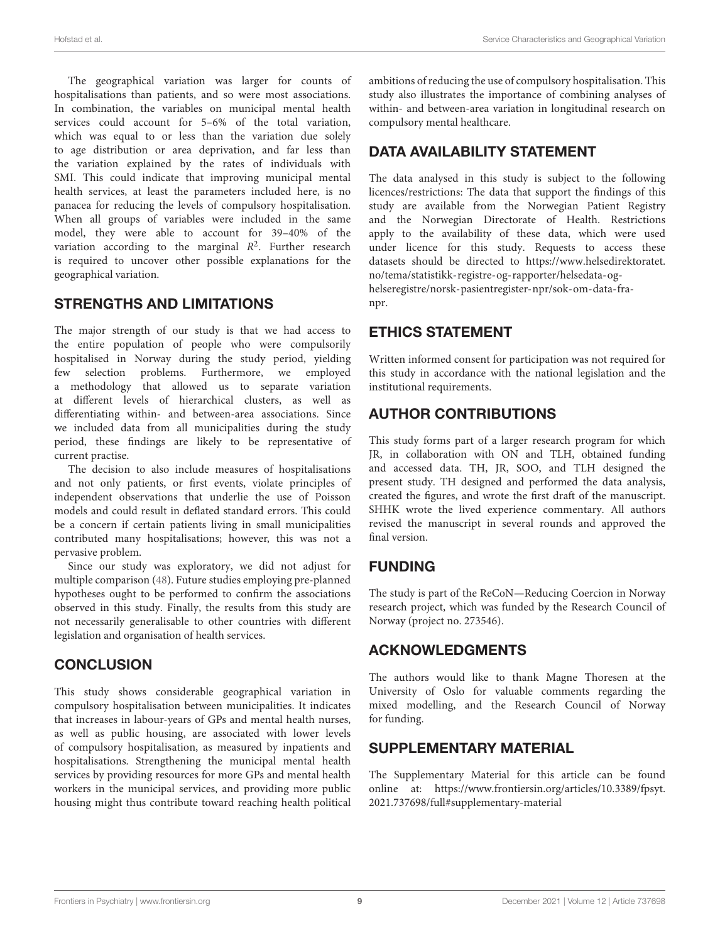The geographical variation was larger for counts of hospitalisations than patients, and so were most associations. In combination, the variables on municipal mental health services could account for 5–6% of the total variation, which was equal to or less than the variation due solely to age distribution or area deprivation, and far less than the variation explained by the rates of individuals with SMI. This could indicate that improving municipal mental health services, at least the parameters included here, is no panacea for reducing the levels of compulsory hospitalisation. When all groups of variables were included in the same model, they were able to account for 39–40% of the variation according to the marginal  $R^2$ . Further research is required to uncover other possible explanations for the geographical variation.

#### STRENGTHS AND LIMITATIONS

The major strength of our study is that we had access to the entire population of people who were compulsorily hospitalised in Norway during the study period, yielding few selection problems. Furthermore, we employed a methodology that allowed us to separate variation at different levels of hierarchical clusters, as well as differentiating within- and between-area associations. Since we included data from all municipalities during the study period, these findings are likely to be representative of current practise.

The decision to also include measures of hospitalisations and not only patients, or first events, violate principles of independent observations that underlie the use of Poisson models and could result in deflated standard errors. This could be a concern if certain patients living in small municipalities contributed many hospitalisations; however, this was not a pervasive problem.

Since our study was exploratory, we did not adjust for multiple comparison [\(48\)](#page-10-9). Future studies employing pre-planned hypotheses ought to be performed to confirm the associations observed in this study. Finally, the results from this study are not necessarily generalisable to other countries with different legislation and organisation of health services.

#### **CONCLUSION**

This study shows considerable geographical variation in compulsory hospitalisation between municipalities. It indicates that increases in labour-years of GPs and mental health nurses, as well as public housing, are associated with lower levels of compulsory hospitalisation, as measured by inpatients and hospitalisations. Strengthening the municipal mental health services by providing resources for more GPs and mental health workers in the municipal services, and providing more public housing might thus contribute toward reaching health political ambitions of reducing the use of compulsory hospitalisation. This study also illustrates the importance of combining analyses of within- and between-area variation in longitudinal research on compulsory mental healthcare.

# DATA AVAILABILITY STATEMENT

The data analysed in this study is subject to the following licences/restrictions: The data that support the findings of this study are available from the Norwegian Patient Registry and the Norwegian Directorate of Health. Restrictions apply to the availability of these data, which were used under licence for this study. Requests to access these datasets should be directed to [https://www.helsedirektoratet.](https://www.helsedirektoratet.no/tema/statistikk-registre-og-rapporter/helsedata-og-helseregistre/norsk-pasientregister-npr/sok-om-data-fra-npr) [no/tema/statistikk-registre-og-rapporter/helsedata-og](https://www.helsedirektoratet.no/tema/statistikk-registre-og-rapporter/helsedata-og-helseregistre/norsk-pasientregister-npr/sok-om-data-fra-npr)[helseregistre/norsk-pasientregister-npr/sok-om-data-fra](https://www.helsedirektoratet.no/tema/statistikk-registre-og-rapporter/helsedata-og-helseregistre/norsk-pasientregister-npr/sok-om-data-fra-npr)[npr.](https://www.helsedirektoratet.no/tema/statistikk-registre-og-rapporter/helsedata-og-helseregistre/norsk-pasientregister-npr/sok-om-data-fra-npr)

### ETHICS STATEMENT

Written informed consent for participation was not required for this study in accordance with the national legislation and the institutional requirements.

### AUTHOR CONTRIBUTIONS

This study forms part of a larger research program for which JR, in collaboration with ON and TLH, obtained funding and accessed data. TH, JR, SOO, and TLH designed the present study. TH designed and performed the data analysis, created the figures, and wrote the first draft of the manuscript. SHHK wrote the lived experience commentary. All authors revised the manuscript in several rounds and approved the final version.

#### FUNDING

The study is part of the ReCoN—Reducing Coercion in Norway research project, which was funded by the Research Council of Norway (project no. 273546).

#### ACKNOWLEDGMENTS

The authors would like to thank Magne Thoresen at the University of Oslo for valuable comments regarding the mixed modelling, and the Research Council of Norway for funding.

#### SUPPLEMENTARY MATERIAL

<span id="page-8-0"></span>The Supplementary Material for this article can be found [online at: https://www.frontiersin.org/articles/10.3389/fpsyt.](https://www.frontiersin.org/articles/10.3389/fpsyt.2021.737698/full#supplementary-material) 2021.737698/full#supplementary-material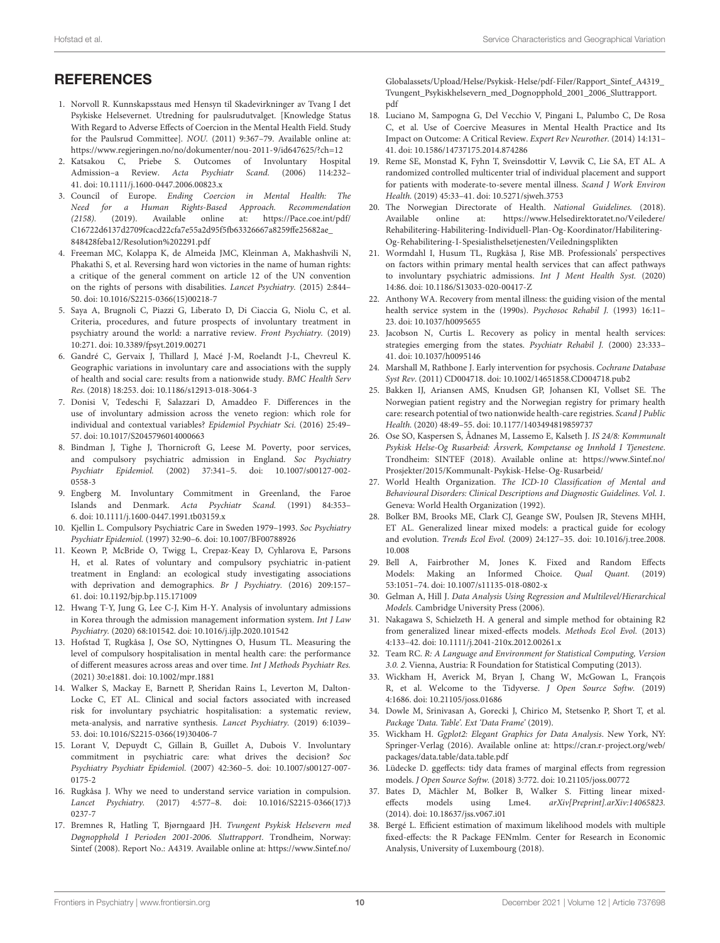### **REFERENCES**

- <span id="page-9-0"></span>1. Norvoll R. Kunnskapsstaus med Hensyn til Skadevirkninger av Tvang I det Psykiske Helsevernet. Utredning for paulsrudutvalget. [Knowledge Status With Regard to Adverse Effects of Coercion in the Mental Health Field. Study for the Paulsrud Committee]. NOU. (2011) 9:367–79. Available online at: <https://www.regjeringen.no/no/dokumenter/nou-2011-9/id647625/?ch=12>
- <span id="page-9-1"></span>2. Katsakou C, Priebe S. Outcomes of Involuntary Hospital Admission–a Review. Acta Psychiatr Scand. (2006) 114:232– 41. doi: [10.1111/j.1600-0447.2006.00823.x](https://doi.org/10.1111/j.1600-0447.2006.00823.x)
- <span id="page-9-2"></span>3. Council of Europe. Ending Coercion in Mental Health: The Need for a Human Rights-Based Approach. Recommendation (2158). (2019). Available online at: [https://Pace.coe.int/pdf/](https://Pace.coe.int/pdf/C16722d6137d2709fcacd22cfa7e55a2d95f5fb63326667a8259ffe25682ae_848428feba12/Resolution%202291.pdf) [C16722d6137d2709fcacd22cfa7e55a2d95f5fb63326667a8259ffe25682ae\\_](https://Pace.coe.int/pdf/C16722d6137d2709fcacd22cfa7e55a2d95f5fb63326667a8259ffe25682ae_848428feba12/Resolution%202291.pdf) [848428feba12/Resolution%202291.pdf](https://Pace.coe.int/pdf/C16722d6137d2709fcacd22cfa7e55a2d95f5fb63326667a8259ffe25682ae_848428feba12/Resolution%202291.pdf)
- <span id="page-9-3"></span>4. Freeman MC, Kolappa K, de Almeida JMC, Kleinman A, Makhashvili N, Phakathi S, et al. Reversing hard won victories in the name of human rights: a critique of the general comment on article 12 of the UN convention on the rights of persons with disabilities. Lancet Psychiatry. (2015) 2:844– 50. doi: [10.1016/S2215-0366\(15\)00218-7](https://doi.org/10.1016/S2215-0366(15)00218-7)
- <span id="page-9-4"></span>5. Saya A, Brugnoli C, Piazzi G, Liberato D, Di Ciaccia G, Niolu C, et al. Criteria, procedures, and future prospects of involuntary treatment in psychiatry around the world: a narrative review. Front Psychiatry. (2019) 10:271. doi: [10.3389/fpsyt.2019.00271](https://doi.org/10.3389/fpsyt.2019.00271)
- <span id="page-9-5"></span>6. Gandré C, Gervaix J, Thillard J, Macé J-M, Roelandt J-L, Chevreul K. Geographic variations in involuntary care and associations with the supply of health and social care: results from a nationwide study. BMC Health Serv Res. (2018) 18:253. doi: [10.1186/s12913-018-3064-3](https://doi.org/10.1186/s12913-018-3064-3)
- 7. Donisi V, Tedeschi F, Salazzari D, Amaddeo F. Differences in the use of involuntary admission across the veneto region: which role for individual and contextual variables? Epidemiol Psychiatr Sci. (2016) 25:49– 57. doi: [10.1017/S2045796014000663](https://doi.org/10.1017/S2045796014000663)
- 8. Bindman J, Tighe J, Thornicroft G, Leese M. Poverty, poor services, and compulsory psychiatric admission in England. Soc Psychiatry Psychiatr Epidemiol. [\(2002\) 37:341–5. doi: 10.1007/s00127-002-](https://doi.org/10.1007/s00127-002-0558-3) 0558-3
- 9. Engberg M. Involuntary Commitment in Greenland, the Faroe Islands and Denmark. Acta Psychiatr Scand. (1991) 84:353– 6. doi: [10.1111/j.1600-0447.1991.tb03159.x](https://doi.org/10.1111/j.1600-0447.1991.tb03159.x)
- 10. Kjellin L. Compulsory Psychiatric Care in Sweden 1979–1993. Soc Psychiatry Psychiatr Epidemiol. (1997) 32:90–6. doi: [10.1007/BF00788926](https://doi.org/10.1007/BF00788926)
- 11. Keown P, McBride O, Twigg L, Crepaz-Keay D, Cyhlarova E, Parsons H, et al. Rates of voluntary and compulsory psychiatric in-patient treatment in England: an ecological study investigating associations with deprivation and demographics. Br J Psychiatry. (2016) 209:157– 61. doi: [10.1192/bjp.bp.115.171009](https://doi.org/10.1192/bjp.bp.115.171009)
- <span id="page-9-6"></span>12. Hwang T-Y, Jung G, Lee C-J, Kim H-Y. Analysis of involuntary admissions in Korea through the admission management information system. Int J Law Psychiatry. (2020) 68:101542. doi: [10.1016/j.ijlp.2020.101542](https://doi.org/10.1016/j.ijlp.2020.101542)
- <span id="page-9-7"></span>13. Hofstad T, Rugkåsa J, Ose SO, Nyttingnes O, Husum TL. Measuring the level of compulsory hospitalisation in mental health care: the performance of different measures across areas and over time. Int J Methods Psychiatr Res. (2021) 30:e1881. doi: [10.1002/mpr.1881](https://doi.org/10.1002/mpr.1881)
- <span id="page-9-8"></span>14. Walker S, Mackay E, Barnett P, Sheridan Rains L, Leverton M, Dalton-Locke C, ET AL. Clinical and social factors associated with increased risk for involuntary psychiatric hospitalisation: a systematic review, meta-analysis, and narrative synthesis. Lancet Psychiatry. (2019) 6:1039– 53. doi: [10.1016/S2215-0366\(19\)30406-7](https://doi.org/10.1016/S2215-0366(19)30406-7)
- <span id="page-9-9"></span>15. Lorant V, Depuydt C, Gillain B, Guillet A, Dubois V. Involuntary commitment in psychiatric care: what drives the decision? Soc Psychiatry Psychiatr Epidemiol. [\(2007\) 42:360–5. doi: 10.1007/s00127-007-](https://doi.org/10.1007/s00127-007-0175-2) 0175-2
- <span id="page-9-10"></span>16. Rugkåsa J. Why we need to understand service variation in compulsion. Lancet Psychiatry. [\(2017\) 4:577–8. doi: 10.1016/S2215-0366\(17\)3](https://doi.org/10.1016/S2215-0366(17)30237-7) 0237-7
- <span id="page-9-11"></span>17. Bremnes R, Hatling T, Bjørngaard JH. Tvungent Psykisk Helsevern med Døgnopphold I Perioden 2001-2006. Sluttrapport. Trondheim, Norway: Sintef (2008). Report No.: A4319. Available online at: [https://www.Sintef.no/](https://www.Sintef.no/Globalassets/Upload/Helse/Psykisk-Helse/pdf-Filer/Rapport_Sintef_A4319_Tvungent_Psykiskhelsevern_med_Dognopphold_2001_2006_Sluttrapport.pdf)

[Globalassets/Upload/Helse/Psykisk-Helse/pdf-Filer/Rapport\\_Sintef\\_A4319\\_](https://www.Sintef.no/Globalassets/Upload/Helse/Psykisk-Helse/pdf-Filer/Rapport_Sintef_A4319_Tvungent_Psykiskhelsevern_med_Dognopphold_2001_2006_Sluttrapport.pdf) [Tvungent\\_Psykiskhelsevern\\_med\\_Dognopphold\\_2001\\_2006\\_Sluttrapport.](https://www.Sintef.no/Globalassets/Upload/Helse/Psykisk-Helse/pdf-Filer/Rapport_Sintef_A4319_Tvungent_Psykiskhelsevern_med_Dognopphold_2001_2006_Sluttrapport.pdf) [pdf](https://www.Sintef.no/Globalassets/Upload/Helse/Psykisk-Helse/pdf-Filer/Rapport_Sintef_A4319_Tvungent_Psykiskhelsevern_med_Dognopphold_2001_2006_Sluttrapport.pdf)

- <span id="page-9-12"></span>18. Luciano M, Sampogna G, Del Vecchio V, Pingani L, Palumbo C, De Rosa C, et al. Use of Coercive Measures in Mental Health Practice and Its Impact on Outcome: A Critical Review. Expert Rev Neurother. (2014) 14:131– 41. doi: [10.1586/14737175.2014.874286](https://doi.org/10.1586/14737175.2014.874286)
- <span id="page-9-13"></span>19. Reme SE, Monstad K, Fyhn T, Sveinsdottir V, Løvvik C, Lie SA, ET AL. A randomized controlled multicenter trial of individual placement and support for patients with moderate-to-severe mental illness. Scand J Work Environ Health. (2019) 45:33–41. doi: [10.5271/sjweh.3753](https://doi.org/10.5271/sjweh.3753)
- <span id="page-9-14"></span>20. The Norwegian Directorate of Health. National Guidelines. (2018). Available online at: [https://www.Helsedirektoratet.no/Veiledere/](https://www.Helsedirektoratet.no/Veiledere/Rehabilitering-Habilitering-Individuell-Plan-Og-Koordinator/Habilitering-Og-Rehabilitering-I-Spesialisthelsetjenesten/Veiledningsplikten) [Rehabilitering-Habilitering-Individuell-Plan-Og-Koordinator/Habilitering-](https://www.Helsedirektoratet.no/Veiledere/Rehabilitering-Habilitering-Individuell-Plan-Og-Koordinator/Habilitering-Og-Rehabilitering-I-Spesialisthelsetjenesten/Veiledningsplikten)[Og-Rehabilitering-I-Spesialisthelsetjenesten/Veiledningsplikten](https://www.Helsedirektoratet.no/Veiledere/Rehabilitering-Habilitering-Individuell-Plan-Og-Koordinator/Habilitering-Og-Rehabilitering-I-Spesialisthelsetjenesten/Veiledningsplikten)
- <span id="page-9-15"></span>21. Wormdahl I, Husum TL, Rugkåsa J, Rise MB. Professionals' perspectives on factors within primary mental health services that can affect pathways to involuntary psychiatric admissions. Int J Ment Health Syst. (2020) 14:86. doi: [10.1186/S13033-020-00417-Z](https://doi.org/10.1186/S13033-020-00417-Z)
- <span id="page-9-16"></span>22. Anthony WA. Recovery from mental illness: the guiding vision of the mental health service system in the (1990s). Psychosoc Rehabil J. (1993) 16:11– 23. doi: [10.1037/h0095655](https://doi.org/10.1037/h0095655)
- <span id="page-9-17"></span>23. Jacobson N, Curtis L. Recovery as policy in mental health services: strategies emerging from the states. Psychiatr Rehabil J. (2000) 23:333– 41. doi: [10.1037/h0095146](https://doi.org/10.1037/h0095146)
- <span id="page-9-18"></span>24. Marshall M, Rathbone J. Early intervention for psychosis. Cochrane Database Syst Rev. (2011) CD004718. doi: [10.1002/14651858.CD004718.pub2](https://doi.org/10.1002/14651858.CD004718.pub2)
- <span id="page-9-19"></span>25. Bakken IJ, Ariansen AMS, Knudsen GP, Johansen KI, Vollset SE. The Norwegian patient registry and the Norwegian registry for primary health care: research potential of two nationwide health-care registries. Scand J Public Health. (2020) 48:49–55. doi: [10.1177/1403494819859737](https://doi.org/10.1177/1403494819859737)
- <span id="page-9-20"></span>26. Ose SO, Kaspersen S, Ådnanes M, Lassemo E, Kalseth J. IS 24/8: Kommunalt Psykisk Helse-Og Rusarbeid: Årsverk, Kompetanse og Innhold I Tjenestene. Trondheim: SINTEF (2018). Available online at: [https://www.Sintef.no/](https://www.Sintef.no/Prosjekter/2015/Kommunalt-Psykisk-Helse-Og-Rusarbeid/) [Prosjekter/2015/Kommunalt-Psykisk-Helse-Og-Rusarbeid/](https://www.Sintef.no/Prosjekter/2015/Kommunalt-Psykisk-Helse-Og-Rusarbeid/)
- <span id="page-9-21"></span>27. World Health Organization. The ICD-10 Classification of Mental and Behavioural Disorders: Clinical Descriptions and Diagnostic Guidelines. Vol. 1. Geneva: World Health Organization (1992).
- <span id="page-9-22"></span>28. Bolker BM, Brooks ME, Clark CJ, Geange SW, Poulsen JR, Stevens MHH, ET AL. Generalized linear mixed models: a practical guide for ecology and evolution. Trends Ecol Evol. [\(2009\) 24:127–35. doi: 10.1016/j.tree.2008.](https://doi.org/10.1016/j.tree.2008.10.008) 10.008
- <span id="page-9-23"></span>29. Bell A, Fairbrother M, Jones K. Fixed and Random Effects Models: Making an Informed Choice. Qual Quant. (2019) 53:1051–74. doi: [10.1007/s11135-018-0802-x](https://doi.org/10.1007/s11135-018-0802-x)
- <span id="page-9-24"></span>30. Gelman A, Hill J. Data Analysis Using Regression and Multilevel/Hierarchical Models. Cambridge University Press (2006).
- <span id="page-9-25"></span>31. Nakagawa S, Schielzeth H. A general and simple method for obtaining R2 from generalized linear mixed-effects models. Methods Ecol Evol. (2013) 4:133–42. doi: [10.1111/j.2041-210x.2012.00261.x](https://doi.org/10.1111/j.2041-210x.2012.00261.x)
- <span id="page-9-26"></span>32. Team RC. R: A Language and Environment for Statistical Computing, Version 3.0. 2. Vienna, Austria: R Foundation for Statistical Computing (2013).
- <span id="page-9-27"></span>33. Wickham H, Averick M, Bryan J, Chang W, McGowan L, François R, et al. Welcome to the Tidyverse. J Open Source Softw. (2019) 4:1686. doi: [10.21105/joss.01686](https://doi.org/10.21105/joss.01686)
- <span id="page-9-28"></span>34. Dowle M, Srinivasan A, Gorecki J, Chirico M, Stetsenko P, Short T, et al. Package 'Data. Table'. Ext 'Data Frame' (2019).
- <span id="page-9-29"></span>35. Wickham H. Ggplot2: Elegant Graphics for Data Analysis. New York, NY: Springer-Verlag (2016). Available online at: [https://cran.r-project.org/web/](https://cran.r-project.org/web/packages/data.table/data.table.pdf) [packages/data.table/data.table.pdf](https://cran.r-project.org/web/packages/data.table/data.table.pdf)
- <span id="page-9-30"></span>36. Lüdecke D. ggeffects: tidy data frames of marginal effects from regression models. J Open Source Softw. (2018) 3:772. doi: [10.21105/joss.00772](https://doi.org/10.21105/joss.00772)
- <span id="page-9-31"></span>37. Bates D, Mächler M, Bolker B, Walker S. Fitting linear mixedeffects models using Lme4. arXiv[Preprint].arXiv:14065823. (2014). doi: [10.18637/jss.v067.i01](https://doi.org/10.18637/jss.v067.i01)
- <span id="page-9-32"></span>38. Bergé L. Efficient estimation of maximum likelihood models with multiple fixed-effects: the R Package FENmlm. Center for Research in Economic Analysis, University of Luxembourg (2018).